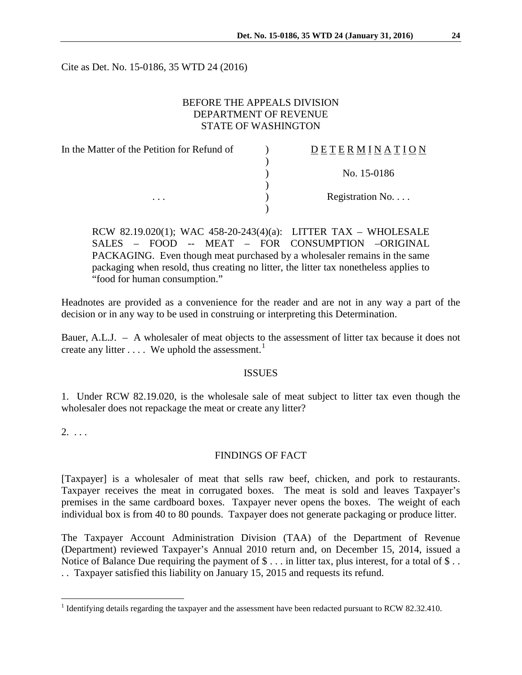Cite as Det. No. 15-0186, 35 WTD 24 (2016)

## BEFORE THE APPEALS DIVISION DEPARTMENT OF REVENUE STATE OF WASHINGTON

| In the Matter of the Petition for Refund of | DETERMINATION   |
|---------------------------------------------|-----------------|
|                                             |                 |
|                                             | No. 15-0186     |
|                                             |                 |
| $\cdots$                                    | Registration No |
|                                             |                 |

RCW 82.19.020(1); WAC 458-20-243(4)(a): LITTER TAX – WHOLESALE SALES – FOOD -- MEAT – FOR CONSUMPTION –ORIGINAL PACKAGING. Even though meat purchased by a wholesaler remains in the same packaging when resold, thus creating no litter, the litter tax nonetheless applies to "food for human consumption."

Headnotes are provided as a convenience for the reader and are not in any way a part of the decision or in any way to be used in construing or interpreting this Determination.

Bauer, A.L.J. – A wholesaler of meat objects to the assessment of litter tax because it does not create any litter  $\dots$ . We uphold the assessment.<sup>[1](#page-0-0)</sup>

## ISSUES

1. Under RCW 82.19.020, is the wholesale sale of meat subject to litter tax even though the wholesaler does not repackage the meat or create any litter?

 $2. \ldots$ 

## FINDINGS OF FACT

[Taxpayer] is a wholesaler of meat that sells raw beef, chicken, and pork to restaurants. Taxpayer receives the meat in corrugated boxes. The meat is sold and leaves Taxpayer's premises in the same cardboard boxes. Taxpayer never opens the boxes. The weight of each individual box is from 40 to 80 pounds. Taxpayer does not generate packaging or produce litter.

The Taxpayer Account Administration Division (TAA) of the Department of Revenue (Department) reviewed Taxpayer's Annual 2010 return and, on December 15, 2014, issued a Notice of Balance Due requiring the payment of  $\$\dots$  in litter tax, plus interest, for a total of  $\$\dots$ . . Taxpayer satisfied this liability on January 15, 2015 and requests its refund.

<span id="page-0-0"></span><sup>&</sup>lt;sup>1</sup> Identifying details regarding the taxpayer and the assessment have been redacted pursuant to RCW 82.32.410.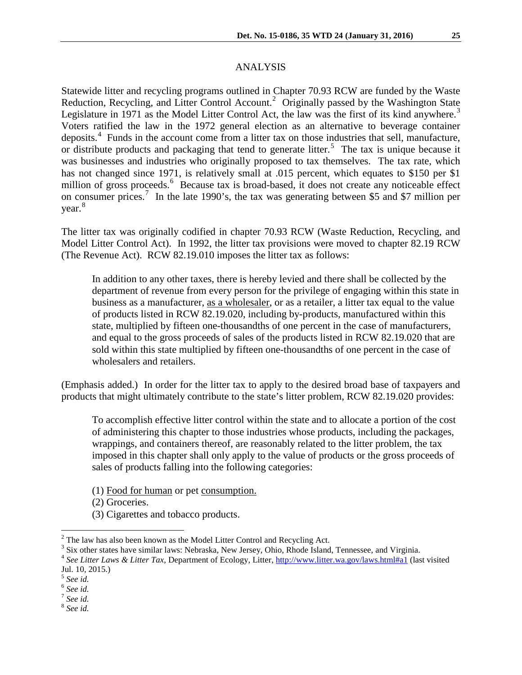Statewide litter and recycling programs outlined in Chapter 70.93 RCW are funded by the Waste Reduction, Recycling, and Litter Control Account.<sup>[2](#page-1-0)</sup> Originally passed by the Washington State Legislature in 1971 as the Model Litter Control Act, the law was the first of its kind anywhere.<sup>[3](#page-1-1)</sup> Voters ratified the law in the 1972 general election as an alternative to beverage container deposits.<sup>[4](#page-1-2)</sup> Funds in the account come from a litter tax on those industries that sell, manufacture, or distribute products and packaging that tend to generate litter.<sup>[5](#page-1-3)</sup> The tax is unique because it was businesses and industries who originally proposed to tax themselves. The tax rate, which has not changed since 1971, is relatively small at .015 percent, which equates to \$150 per \$1 million of gross proceeds.<sup>[6](#page-1-4)</sup> Because tax is broad-based, it does not create any noticeable effect on consumer prices.<sup>[7](#page-1-5)</sup> In the late 1990's, the tax was generating between \$5 and \$7 million per year.<sup>[8](#page-1-6)</sup>

The litter tax was originally codified in chapter 70.93 RCW (Waste Reduction, Recycling, and Model Litter Control Act). In 1992, the litter tax provisions were moved to chapter 82.19 RCW (The Revenue Act). RCW 82.19.010 imposes the litter tax as follows:

In addition to any other taxes, there is hereby levied and there shall be collected by the department of revenue from every person for the privilege of engaging within this state in business as a manufacturer, as a wholesaler, or as a retailer, a litter tax equal to the value of products listed in RCW 82.19.020, including by-products, manufactured within this state, multiplied by fifteen one-thousandths of one percent in the case of manufacturers, and equal to the gross proceeds of sales of the products listed in RCW 82.19.020 that are sold within this state multiplied by fifteen one-thousandths of one percent in the case of wholesalers and retailers.

(Emphasis added.) In order for the litter tax to apply to the desired broad base of taxpayers and products that might ultimately contribute to the state's litter problem, RCW 82.19.020 provides:

To accomplish effective litter control within the state and to allocate a portion of the cost of administering this chapter to those industries whose products, including the packages, wrappings, and containers thereof, are reasonably related to the litter problem, the tax imposed in this chapter shall only apply to the value of products or the gross proceeds of sales of products falling into the following categories:

(1) Food for human or pet consumption.

(2) Groceries.

(3) Cigarettes and tobacco products.

<span id="page-1-0"></span><sup>&</sup>lt;sup>2</sup> The law has also been known as the Model Litter Control and Recycling Act.<br><sup>3</sup> Six other states have similar laws: Nebraska, New Jersey, Ohio, Rhode Island, Tennessee, and Virginia.

<span id="page-1-2"></span><span id="page-1-1"></span><sup>4</sup> *See Litter Laws & Litter Tax*, Department of Ecology, Litter[, http://www.litter.wa.gov/laws.html#a1](http://www.litter.wa.gov/laws.html#a1) (last visited Jul. 10, 2015.)

<sup>5</sup> *See id.*

<span id="page-1-5"></span><span id="page-1-4"></span><span id="page-1-3"></span><sup>6</sup> *See id.* <sup>7</sup> *See id.*

<span id="page-1-6"></span><sup>8</sup> *See id.*